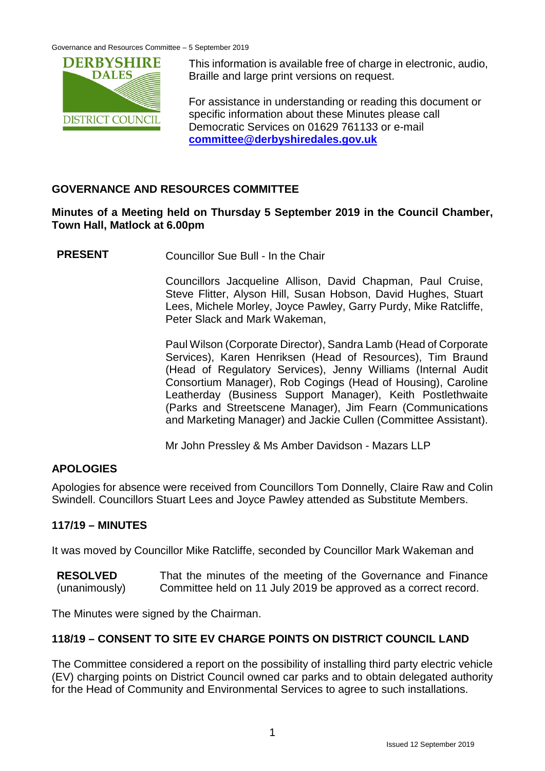

This information is available free of charge in electronic, audio, Braille and large print versions on request.

For assistance in understanding or reading this document or specific information about these Minutes please call Democratic Services on 01629 761133 or e-mail **[committee@derbyshiredales.gov.uk](mailto:committee@derbyshiredales.gov.uk)**

# **GOVERNANCE AND RESOURCES COMMITTEE**

## **Minutes of a Meeting held on Thursday 5 September 2019 in the Council Chamber, Town Hall, Matlock at 6.00pm**

**PRESENT** Councillor Sue Bull - In the Chair

Councillors Jacqueline Allison, David Chapman, Paul Cruise, Steve Flitter, Alyson Hill, Susan Hobson, David Hughes, Stuart Lees, Michele Morley, Joyce Pawley, Garry Purdy, Mike Ratcliffe, Peter Slack and Mark Wakeman,

Paul Wilson (Corporate Director), Sandra Lamb (Head of Corporate Services), Karen Henriksen (Head of Resources), Tim Braund (Head of Regulatory Services), Jenny Williams (Internal Audit Consortium Manager), Rob Cogings (Head of Housing), Caroline Leatherday (Business Support Manager), Keith Postlethwaite (Parks and Streetscene Manager), Jim Fearn (Communications and Marketing Manager) and Jackie Cullen (Committee Assistant).

Mr John Pressley & Ms Amber Davidson - Mazars LLP

# **APOLOGIES**

Apologies for absence were received from Councillors Tom Donnelly, Claire Raw and Colin Swindell. Councillors Stuart Lees and Joyce Pawley attended as Substitute Members.

# **117/19 – MINUTES**

It was moved by Councillor Mike Ratcliffe, seconded by Councillor Mark Wakeman and

**RESOLVED** (unanimously) That the minutes of the meeting of the Governance and Finance Committee held on 11 July 2019 be approved as a correct record.

The Minutes were signed by the Chairman.

# **118/19 – CONSENT TO SITE EV CHARGE POINTS ON DISTRICT COUNCIL LAND**

The Committee considered a report on the possibility of installing third party electric vehicle (EV) charging points on District Council owned car parks and to obtain delegated authority for the Head of Community and Environmental Services to agree to such installations.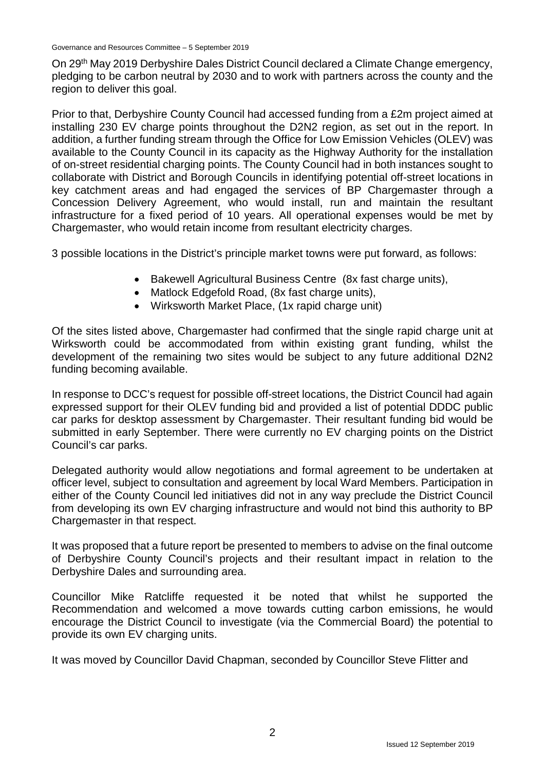On 29<sup>th</sup> May 2019 Derbyshire Dales District Council declared a Climate Change emergency, pledging to be carbon neutral by 2030 and to work with partners across the county and the region to deliver this goal.

Prior to that, Derbyshire County Council had accessed funding from a £2m project aimed at installing 230 EV charge points throughout the D2N2 region, as set out in the report. In addition, a further funding stream through the Office for Low Emission Vehicles (OLEV) was available to the County Council in its capacity as the Highway Authority for the installation of on-street residential charging points. The County Council had in both instances sought to collaborate with District and Borough Councils in identifying potential off-street locations in key catchment areas and had engaged the services of BP Chargemaster through a Concession Delivery Agreement, who would install, run and maintain the resultant infrastructure for a fixed period of 10 years. All operational expenses would be met by Chargemaster, who would retain income from resultant electricity charges.

3 possible locations in the District's principle market towns were put forward, as follows:

- Bakewell Agricultural Business Centre (8x fast charge units),
- Matlock Edgefold Road, (8x fast charge units),
- Wirksworth Market Place, (1x rapid charge unit)

Of the sites listed above, Chargemaster had confirmed that the single rapid charge unit at Wirksworth could be accommodated from within existing grant funding, whilst the development of the remaining two sites would be subject to any future additional D2N2 funding becoming available.

In response to DCC's request for possible off-street locations, the District Council had again expressed support for their OLEV funding bid and provided a list of potential DDDC public car parks for desktop assessment by Chargemaster. Their resultant funding bid would be submitted in early September. There were currently no EV charging points on the District Council's car parks.

Delegated authority would allow negotiations and formal agreement to be undertaken at officer level, subject to consultation and agreement by local Ward Members. Participation in either of the County Council led initiatives did not in any way preclude the District Council from developing its own EV charging infrastructure and would not bind this authority to BP Chargemaster in that respect.

It was proposed that a future report be presented to members to advise on the final outcome of Derbyshire County Council's projects and their resultant impact in relation to the Derbyshire Dales and surrounding area.

Councillor Mike Ratcliffe requested it be noted that whilst he supported the Recommendation and welcomed a move towards cutting carbon emissions, he would encourage the District Council to investigate (via the Commercial Board) the potential to provide its own EV charging units.

It was moved by Councillor David Chapman, seconded by Councillor Steve Flitter and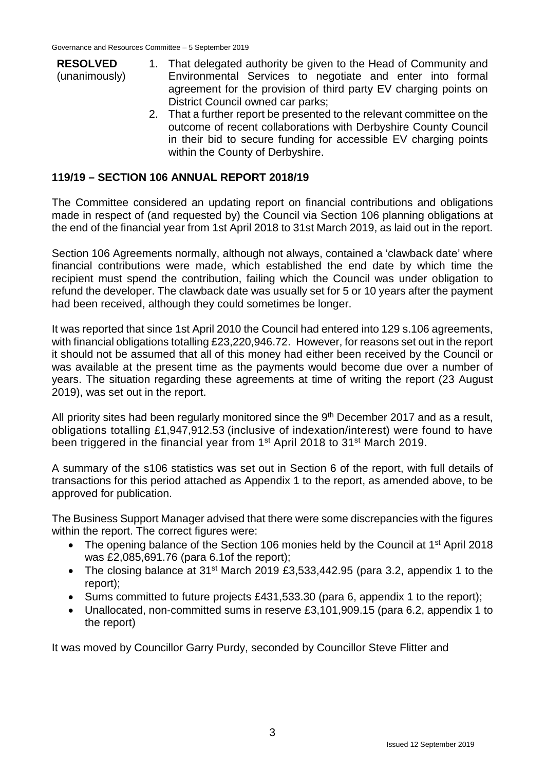- **RESOLVED** (unanimously) 1. That delegated authority be given to the Head of Community and Environmental Services to negotiate and enter into formal agreement for the provision of third party EV charging points on District Council owned car parks;
	- 2. That a further report be presented to the relevant committee on the outcome of recent collaborations with Derbyshire County Council in their bid to secure funding for accessible EV charging points within the County of Derbyshire.

## **119/19 – SECTION 106 ANNUAL REPORT 2018/19**

The Committee considered an updating report on financial contributions and obligations made in respect of (and requested by) the Council via Section 106 planning obligations at the end of the financial year from 1st April 2018 to 31st March 2019, as laid out in the report.

Section 106 Agreements normally, although not always, contained a 'clawback date' where financial contributions were made, which established the end date by which time the recipient must spend the contribution, failing which the Council was under obligation to refund the developer. The clawback date was usually set for 5 or 10 years after the payment had been received, although they could sometimes be longer.

It was reported that since 1st April 2010 the Council had entered into 129 s.106 agreements, with financial obligations totalling £23,220,946.72. However, for reasons set out in the report it should not be assumed that all of this money had either been received by the Council or was available at the present time as the payments would become due over a number of years. The situation regarding these agreements at time of writing the report (23 August 2019), was set out in the report.

All priority sites had been regularly monitored since the 9<sup>th</sup> December 2017 and as a result, obligations totalling £1,947,912.53 (inclusive of indexation/interest) were found to have been triggered in the financial year from 1<sup>st</sup> April 2018 to 31<sup>st</sup> March 2019.

A summary of the s106 statistics was set out in Section 6 of the report, with full details of transactions for this period attached as Appendix 1 to the report, as amended above, to be approved for publication.

The Business Support Manager advised that there were some discrepancies with the figures within the report. The correct figures were:

- The opening balance of the Section 106 monies held by the Council at 1<sup>st</sup> April 2018 was £2,085,691.76 (para 6.1of the report);
- The closing balance at 31<sup>st</sup> March 2019 £3,533,442.95 (para 3.2, appendix 1 to the report);
- Sums committed to future projects £431,533.30 (para 6, appendix 1 to the report);
- Unallocated, non-committed sums in reserve £3,101,909.15 (para 6.2, appendix 1 to the report)

It was moved by Councillor Garry Purdy, seconded by Councillor Steve Flitter and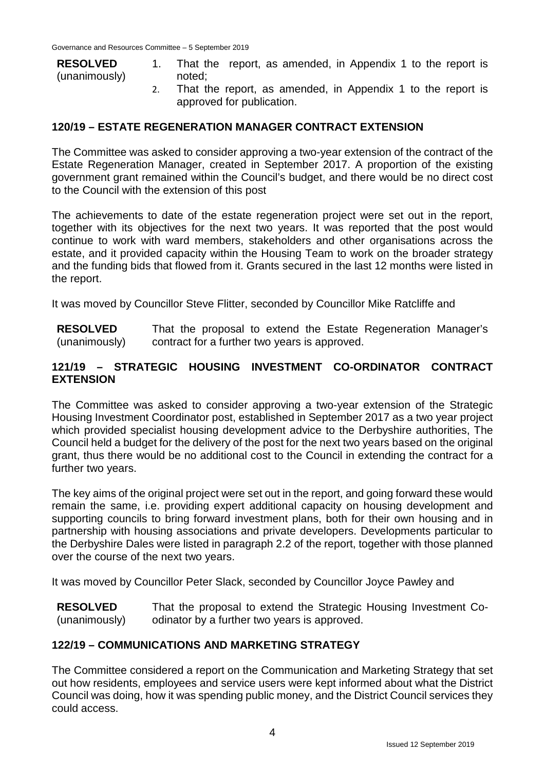| <b>RESOLVED</b> | That the report, as amended, in Appendix 1 to the report is |
|-----------------|-------------------------------------------------------------|
| (unanimously)   | noted:                                                      |
|                 | That the report as amended in Appendix 1 to the report is   |

That the report, as amended, in Appendix 1 to the report is approved for publication.

#### **120/19 – ESTATE REGENERATION MANAGER CONTRACT EXTENSION**

The Committee was asked to consider approving a two-year extension of the contract of the Estate Regeneration Manager, created in September 2017. A proportion of the existing government grant remained within the Council's budget, and there would be no direct cost to the Council with the extension of this post

The achievements to date of the estate regeneration project were set out in the report, together with its objectives for the next two years. It was reported that the post would continue to work with ward members, stakeholders and other organisations across the estate, and it provided capacity within the Housing Team to work on the broader strategy and the funding bids that flowed from it. Grants secured in the last 12 months were listed in the report.

It was moved by Councillor Steve Flitter, seconded by Councillor Mike Ratcliffe and

**RESOLVED** (unanimously) That the proposal to extend the Estate Regeneration Manager's contract for a further two years is approved.

#### **121/19 – STRATEGIC HOUSING INVESTMENT CO-ORDINATOR CONTRACT EXTENSION**

The Committee was asked to consider approving a two-year extension of the Strategic Housing Investment Coordinator post, established in September 2017 as a two year project which provided specialist housing development advice to the Derbyshire authorities, The Council held a budget for the delivery of the post for the next two years based on the original grant, thus there would be no additional cost to the Council in extending the contract for a further two years.

The key aims of the original project were set out in the report, and going forward these would remain the same, i.e. providing expert additional capacity on housing development and supporting councils to bring forward investment plans, both for their own housing and in partnership with housing associations and private developers. Developments particular to the Derbyshire Dales were listed in paragraph 2.2 of the report, together with those planned over the course of the next two years.

It was moved by Councillor Peter Slack, seconded by Councillor Joyce Pawley and

**RESOLVED** (unanimously) That the proposal to extend the Strategic Housing Investment Coodinator by a further two years is approved.

#### **122/19 – COMMUNICATIONS AND MARKETING STRATEGY**

The Committee considered a report on the Communication and Marketing Strategy that set out how residents, employees and service users were kept informed about what the District Council was doing, how it was spending public money, and the District Council services they could access.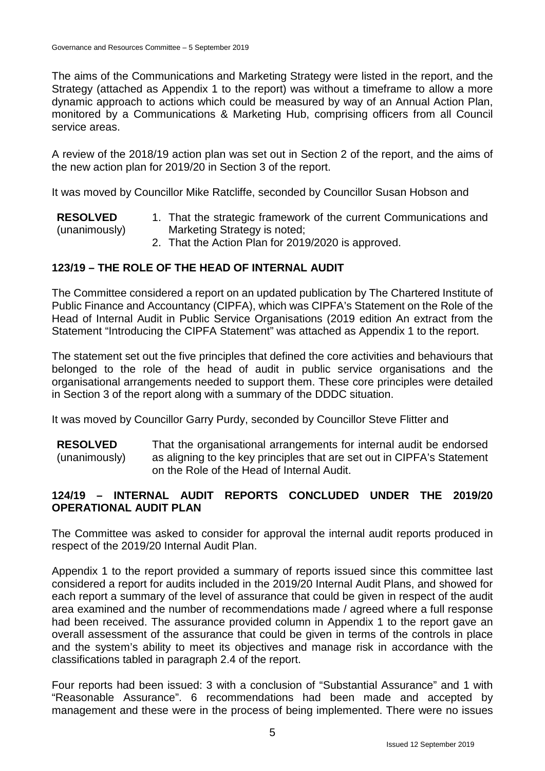The aims of the Communications and Marketing Strategy were listed in the report, and the Strategy (attached as Appendix 1 to the report) was without a timeframe to allow a more dynamic approach to actions which could be measured by way of an Annual Action Plan, monitored by a Communications & Marketing Hub, comprising officers from all Council service areas.

A review of the 2018/19 action plan was set out in Section 2 of the report, and the aims of the new action plan for 2019/20 in Section 3 of the report.

It was moved by Councillor Mike Ratcliffe, seconded by Councillor Susan Hobson and

**RESOLVED** (unanimously) 1. That the strategic framework of the current Communications and Marketing Strategy is noted;

2. That the Action Plan for 2019/2020 is approved.

# **123/19 – THE ROLE OF THE HEAD OF INTERNAL AUDIT**

The Committee considered a report on an updated publication by The Chartered Institute of Public Finance and Accountancy (CIPFA), which was CIPFA's Statement on the Role of the Head of Internal Audit in Public Service Organisations (2019 edition An extract from the Statement "Introducing the CIPFA Statement" was attached as Appendix 1 to the report.

The statement set out the five principles that defined the core activities and behaviours that belonged to the role of the head of audit in public service organisations and the organisational arrangements needed to support them. These core principles were detailed in Section 3 of the report along with a summary of the DDDC situation.

It was moved by Councillor Garry Purdy, seconded by Councillor Steve Flitter and

**RESOLVED** (unanimously) That the organisational arrangements for internal audit be endorsed as aligning to the key principles that are set out in CIPFA's Statement on the Role of the Head of Internal Audit.

# **124/19 – INTERNAL AUDIT REPORTS CONCLUDED UNDER THE 2019/20 OPERATIONAL AUDIT PLAN**

The Committee was asked to consider for approval the internal audit reports produced in respect of the 2019/20 Internal Audit Plan.

Appendix 1 to the report provided a summary of reports issued since this committee last considered a report for audits included in the 2019/20 Internal Audit Plans, and showed for each report a summary of the level of assurance that could be given in respect of the audit area examined and the number of recommendations made / agreed where a full response had been received. The assurance provided column in Appendix 1 to the report gave an overall assessment of the assurance that could be given in terms of the controls in place and the system's ability to meet its objectives and manage risk in accordance with the classifications tabled in paragraph 2.4 of the report.

Four reports had been issued: 3 with a conclusion of "Substantial Assurance" and 1 with "Reasonable Assurance". 6 recommendations had been made and accepted by management and these were in the process of being implemented. There were no issues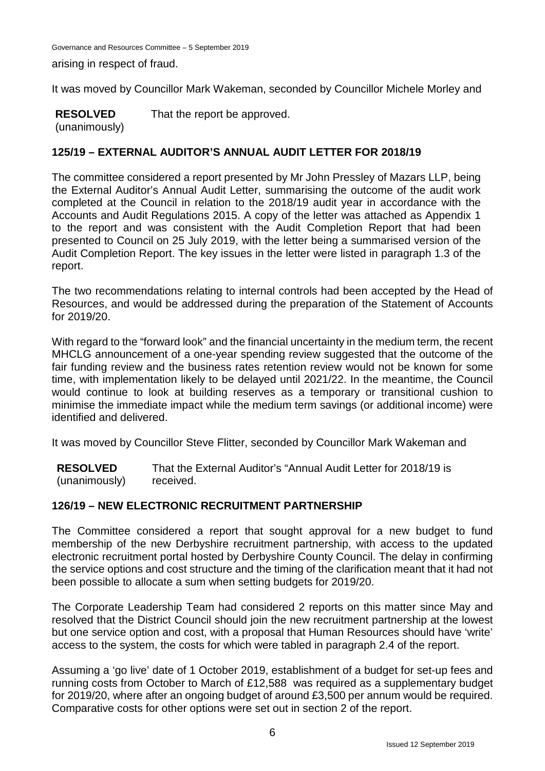arising in respect of fraud.

It was moved by Councillor Mark Wakeman, seconded by Councillor Michele Morley and

**RESOLVED** (unanimously) That the report be approved.

#### **125/19 – EXTERNAL AUDITOR'S ANNUAL AUDIT LETTER FOR 2018/19**

The committee considered a report presented by Mr John Pressley of Mazars LLP, being the External Auditor's Annual Audit Letter, summarising the outcome of the audit work completed at the Council in relation to the 2018/19 audit year in accordance with the Accounts and Audit Regulations 2015. A copy of the letter was attached as Appendix 1 to the report and was consistent with the Audit Completion Report that had been presented to Council on 25 July 2019, with the letter being a summarised version of the Audit Completion Report. The key issues in the letter were listed in paragraph 1.3 of the report.

The two recommendations relating to internal controls had been accepted by the Head of Resources, and would be addressed during the preparation of the Statement of Accounts for 2019/20.

With regard to the "forward look" and the financial uncertainty in the medium term, the recent MHCLG announcement of a one-year spending review suggested that the outcome of the fair funding review and the business rates retention review would not be known for some time, with implementation likely to be delayed until 2021/22. In the meantime, the Council would continue to look at building reserves as a temporary or transitional cushion to minimise the immediate impact while the medium term savings (or additional income) were identified and delivered.

It was moved by Councillor Steve Flitter, seconded by Councillor Mark Wakeman and

**RESOLVED** (unanimously) That the External Auditor's "Annual Audit Letter for 2018/19 is received.

#### **126/19 – NEW ELECTRONIC RECRUITMENT PARTNERSHIP**

The Committee considered a report that sought approval for a new budget to fund membership of the new Derbyshire recruitment partnership, with access to the updated electronic recruitment portal hosted by Derbyshire County Council. The delay in confirming the service options and cost structure and the timing of the clarification meant that it had not been possible to allocate a sum when setting budgets for 2019/20.

The Corporate Leadership Team had considered 2 reports on this matter since May and resolved that the District Council should join the new recruitment partnership at the lowest but one service option and cost, with a proposal that Human Resources should have 'write' access to the system, the costs for which were tabled in paragraph 2.4 of the report.

Assuming a 'go live' date of 1 October 2019, establishment of a budget for set-up fees and running costs from October to March of £12,588 was required as a supplementary budget for 2019/20, where after an ongoing budget of around £3,500 per annum would be required. Comparative costs for other options were set out in section 2 of the report.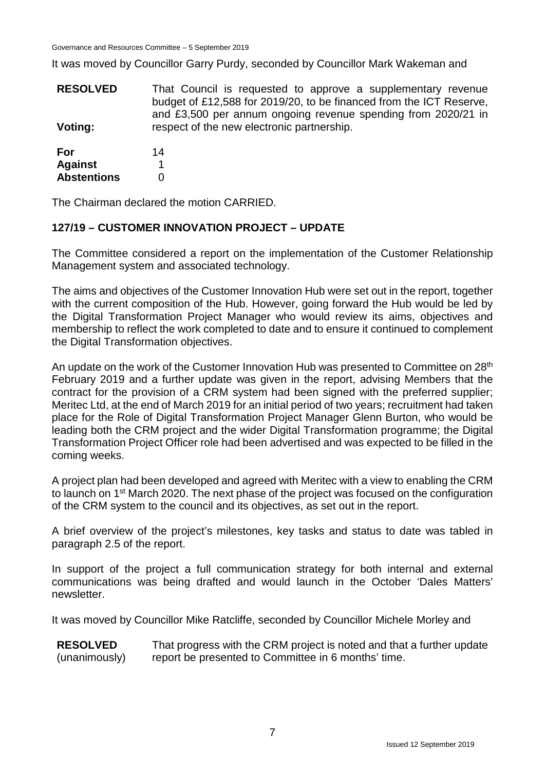It was moved by Councillor Garry Purdy, seconded by Councillor Mark Wakeman and

**RESOLVED Voting:** That Council is requested to approve a supplementary revenue budget of £12,588 for 2019/20, to be financed from the ICT Reserve, and £3,500 per annum ongoing revenue spending from 2020/21 in respect of the new electronic partnership.

**For Against Abstentions** 14 1  $\Omega$ 

The Chairman declared the motion CARRIED.

## **127/19 – CUSTOMER INNOVATION PROJECT – UPDATE**

The Committee considered a report on the implementation of the Customer Relationship Management system and associated technology.

The aims and objectives of the Customer Innovation Hub were set out in the report, together with the current composition of the Hub. However, going forward the Hub would be led by the Digital Transformation Project Manager who would review its aims, objectives and membership to reflect the work completed to date and to ensure it continued to complement the Digital Transformation objectives.

An update on the work of the Customer Innovation Hub was presented to Committee on 28<sup>th</sup> February 2019 and a further update was given in the report, advising Members that the contract for the provision of a CRM system had been signed with the preferred supplier; Meritec Ltd, at the end of March 2019 for an initial period of two years; recruitment had taken place for the Role of Digital Transformation Project Manager Glenn Burton, who would be leading both the CRM project and the wider Digital Transformation programme; the Digital Transformation Project Officer role had been advertised and was expected to be filled in the coming weeks.

A project plan had been developed and agreed with Meritec with a view to enabling the CRM to launch on 1<sup>st</sup> March 2020. The next phase of the project was focused on the configuration of the CRM system to the council and its objectives, as set out in the report.

A brief overview of the project's milestones, key tasks and status to date was tabled in paragraph 2.5 of the report.

In support of the project a full communication strategy for both internal and external communications was being drafted and would launch in the October 'Dales Matters' newsletter.

It was moved by Councillor Mike Ratcliffe, seconded by Councillor Michele Morley and

**RESOLVED** (unanimously) That progress with the CRM project is noted and that a further update report be presented to Committee in 6 months' time.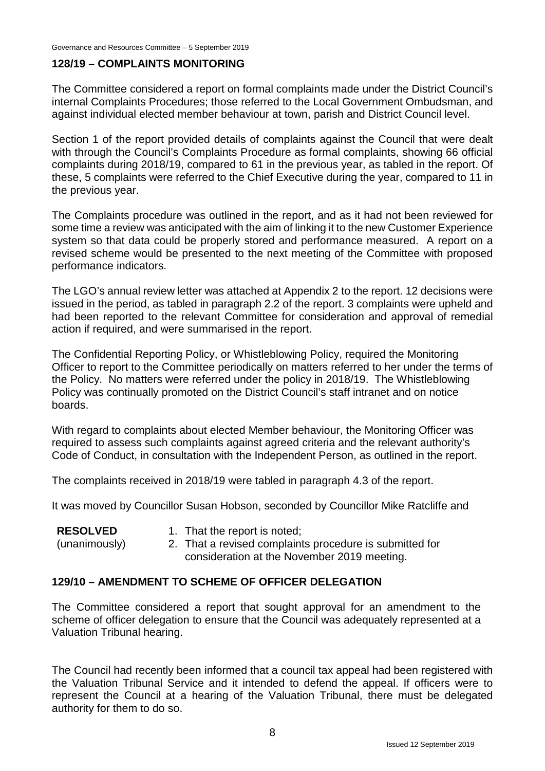#### **128/19 – COMPLAINTS MONITORING**

The Committee considered a report on formal complaints made under the District Council's internal Complaints Procedures; those referred to the Local Government Ombudsman, and against individual elected member behaviour at town, parish and District Council level.

Section 1 of the report provided details of complaints against the Council that were dealt with through the Council's Complaints Procedure as formal complaints, showing 66 official complaints during 2018/19, compared to 61 in the previous year, as tabled in the report. Of these, 5 complaints were referred to the Chief Executive during the year, compared to 11 in the previous year.

The Complaints procedure was outlined in the report, and as it had not been reviewed for some time a review was anticipated with the aim of linking it to the new Customer Experience system so that data could be properly stored and performance measured. A report on a revised scheme would be presented to the next meeting of the Committee with proposed performance indicators.

The LGO's annual review letter was attached at Appendix 2 to the report. 12 decisions were issued in the period, as tabled in paragraph 2.2 of the report. 3 complaints were upheld and had been reported to the relevant Committee for consideration and approval of remedial action if required, and were summarised in the report.

The Confidential Reporting Policy, or Whistleblowing Policy, required the Monitoring Officer to report to the Committee periodically on matters referred to her under the terms of the Policy. No matters were referred under the policy in 2018/19. The Whistleblowing Policy was continually promoted on the District Council's staff intranet and on notice boards.

With regard to complaints about elected Member behaviour, the Monitoring Officer was required to assess such complaints against agreed criteria and the relevant authority's Code of Conduct, in consultation with the Independent Person, as outlined in the report.

The complaints received in 2018/19 were tabled in paragraph 4.3 of the report.

It was moved by Councillor Susan Hobson, seconded by Councillor Mike Ratcliffe and

| <b>RESOLVED</b> | 1. That the report is noted;                            |
|-----------------|---------------------------------------------------------|
| (unanimously)   | 2. That a revised complaints procedure is submitted for |
|                 | consideration at the November 2019 meeting.             |

#### **129/10 – AMENDMENT TO SCHEME OF OFFICER DELEGATION**

The Committee considered a report that sought approval for an amendment to the scheme of officer delegation to ensure that the Council was adequately represented at a Valuation Tribunal hearing.

The Council had recently been informed that a council tax appeal had been registered with the Valuation Tribunal Service and it intended to defend the appeal. If officers were to represent the Council at a hearing of the Valuation Tribunal, there must be delegated authority for them to do so.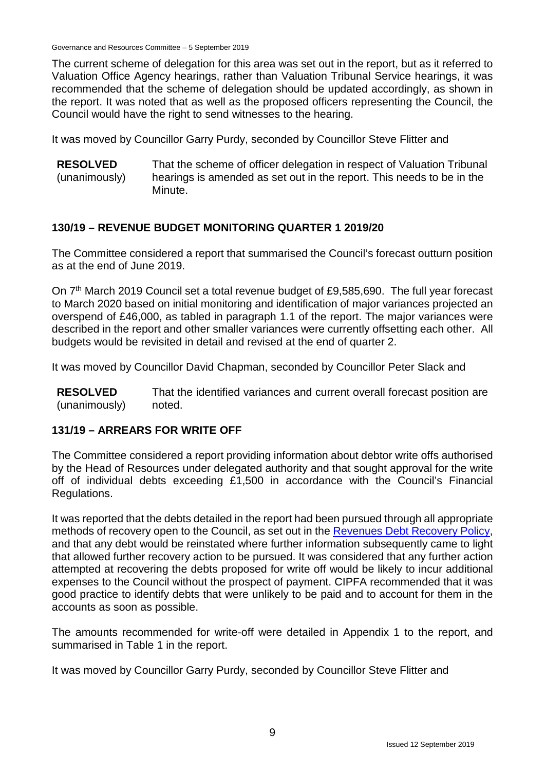The current scheme of delegation for this area was set out in the report, but as it referred to Valuation Office Agency hearings, rather than Valuation Tribunal Service hearings, it was recommended that the scheme of delegation should be updated accordingly, as shown in the report. It was noted that as well as the proposed officers representing the Council, the Council would have the right to send witnesses to the hearing.

It was moved by Councillor Garry Purdy, seconded by Councillor Steve Flitter and

**RESOLVED** (unanimously) That the scheme of officer delegation in respect of Valuation Tribunal hearings is amended as set out in the report. This needs to be in the Minute.

#### **130/19 – REVENUE BUDGET MONITORING QUARTER 1 2019/20**

The Committee considered a report that summarised the Council's forecast outturn position as at the end of June 2019.

On 7<sup>th</sup> March 2019 Council set a total revenue budget of £9,585,690. The full year forecast to March 2020 based on initial monitoring and identification of major variances projected an overspend of £46,000, as tabled in paragraph 1.1 of the report. The major variances were described in the report and other smaller variances were currently offsetting each other. All budgets would be revisited in detail and revised at the end of quarter 2.

It was moved by Councillor David Chapman, seconded by Councillor Peter Slack and

**RESOLVED** (unanimously) That the identified variances and current overall forecast position are noted.

#### **131/19 – ARREARS FOR WRITE OFF**

The Committee considered a report providing information about debtor write offs authorised by the Head of Resources under delegated authority and that sought approval for the write off of individual debts exceeding £1,500 in accordance with the Council's Financial Regulations.

It was reported that the debts detailed in the report had been pursued through all appropriate methods of recovery open to the Council, as set out in the [Revenues Debt Recovery Policy,](http://www.derbyshiredales.gov.uk/images/documents/R/Revenues_Debt_Recovery_Policy.pdf) and that any debt would be reinstated where further information subsequently came to light that allowed further recovery action to be pursued. It was considered that any further action attempted at recovering the debts proposed for write off would be likely to incur additional expenses to the Council without the prospect of payment. CIPFA recommended that it was good practice to identify debts that were unlikely to be paid and to account for them in the accounts as soon as possible.

The amounts recommended for write-off were detailed in Appendix 1 to the report, and summarised in Table 1 in the report.

It was moved by Councillor Garry Purdy, seconded by Councillor Steve Flitter and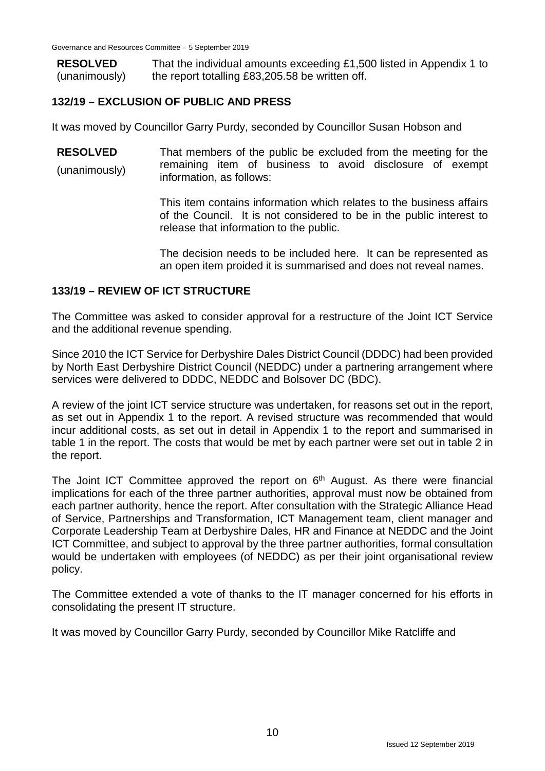**RESOLVED** (unanimously) That the individual amounts exceeding £1,500 listed in Appendix 1 to the report totalling £83,205.58 be written off.

## **132/19 – EXCLUSION OF PUBLIC AND PRESS**

It was moved by Councillor Garry Purdy, seconded by Councillor Susan Hobson and

**RESOLVED** (unanimously) That members of the public be excluded from the meeting for the remaining item of business to avoid disclosure of exempt information, as follows:

> This item contains information which relates to the business affairs of the Council. It is not considered to be in the public interest to release that information to the public.

> The decision needs to be included here. It can be represented as an open item proided it is summarised and does not reveal names.

#### **133/19 – REVIEW OF ICT STRUCTURE**

The Committee was asked to consider approval for a restructure of the Joint ICT Service and the additional revenue spending.

Since 2010 the ICT Service for Derbyshire Dales District Council (DDDC) had been provided by North East Derbyshire District Council (NEDDC) under a partnering arrangement where services were delivered to DDDC, NEDDC and Bolsover DC (BDC).

A review of the joint ICT service structure was undertaken, for reasons set out in the report, as set out in Appendix 1 to the report. A revised structure was recommended that would incur additional costs, as set out in detail in Appendix 1 to the report and summarised in table 1 in the report. The costs that would be met by each partner were set out in table 2 in the report.

The Joint ICT Committee approved the report on  $6<sup>th</sup>$  August. As there were financial implications for each of the three partner authorities, approval must now be obtained from each partner authority, hence the report. After consultation with the Strategic Alliance Head of Service, Partnerships and Transformation, ICT Management team, client manager and Corporate Leadership Team at Derbyshire Dales, HR and Finance at NEDDC and the Joint ICT Committee, and subject to approval by the three partner authorities, formal consultation would be undertaken with employees (of NEDDC) as per their joint organisational review policy.

The Committee extended a vote of thanks to the IT manager concerned for his efforts in consolidating the present IT structure.

It was moved by Councillor Garry Purdy, seconded by Councillor Mike Ratcliffe and